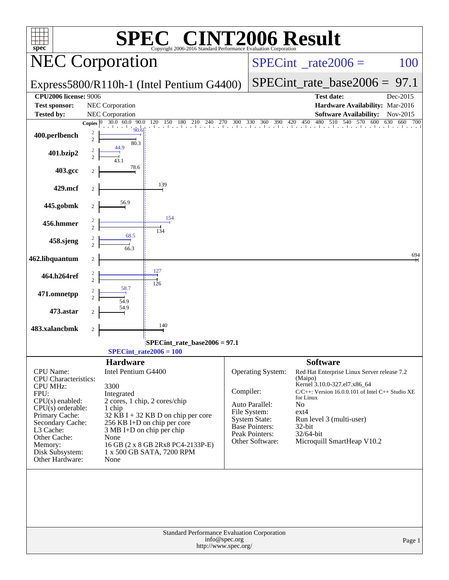| <b>INT2006 Result</b><br>$\bigcap$<br>SPEC           |                  |                                        |                                                                                                |                                       |                                  |                                |                                                       |          |  |  |
|------------------------------------------------------|------------------|----------------------------------------|------------------------------------------------------------------------------------------------|---------------------------------------|----------------------------------|--------------------------------|-------------------------------------------------------|----------|--|--|
| $spec^*$<br><b>NEC Corporation</b>                   |                  |                                        | Copyright 2006-2016 Standard Performance Evaluation Corporation                                |                                       | $SPECint^{\circ}$ _rate2006 =    |                                | 100                                                   |          |  |  |
|                                                      |                  |                                        |                                                                                                |                                       |                                  |                                |                                                       |          |  |  |
|                                                      |                  |                                        | Express5800/R110h-1 (Intel Pentium G4400)                                                      |                                       |                                  | $SPECint_rate_base2006 = 97.1$ |                                                       |          |  |  |
| <b>CPU2006 license: 9006</b><br><b>Test sponsor:</b> |                  | NEC Corporation                        |                                                                                                |                                       |                                  | <b>Test date:</b>              | Hardware Availability: Mar-2016                       | Dec-2015 |  |  |
| <b>Tested by:</b>                                    |                  | <b>NEC</b> Corporation                 |                                                                                                |                                       |                                  |                                | <b>Software Availability:</b>                         | Nov-2015 |  |  |
|                                                      | Copies $ 0 $     | 30.0 60.0 90.0                         | 0 90.0 120 150 180 210 240 270 300 330 360 390 420 450 480 510 540 570 600 630 660 700<br>90.6 |                                       |                                  |                                |                                                       |          |  |  |
| 400.perlbench                                        | $\overline{c}$   | 80.3                                   |                                                                                                |                                       |                                  |                                |                                                       |          |  |  |
| 401.bzip2                                            |                  | 44.9                                   |                                                                                                |                                       |                                  |                                |                                                       |          |  |  |
| 403.gcc                                              |                  | 78.6                                   |                                                                                                |                                       |                                  |                                |                                                       |          |  |  |
| 429.mcf                                              | 2                |                                        | 139                                                                                            |                                       |                                  |                                |                                                       |          |  |  |
| 445.gobmk                                            | 2                | 56.9                                   |                                                                                                |                                       |                                  |                                |                                                       |          |  |  |
| 456.hmmer                                            |                  |                                        | 154                                                                                            |                                       |                                  |                                |                                                       |          |  |  |
|                                                      |                  | 68.5                                   | 134                                                                                            |                                       |                                  |                                |                                                       |          |  |  |
| 458.sjeng                                            |                  | 66.3                                   |                                                                                                |                                       |                                  |                                |                                                       |          |  |  |
| 462.libquantum                                       | $\overline{c}$   |                                        |                                                                                                |                                       |                                  |                                |                                                       | 694      |  |  |
| 464.h264ref                                          | $\overline{c}$   |                                        | 127<br>126                                                                                     |                                       |                                  |                                |                                                       |          |  |  |
| 471.omnetpp                                          |                  | 58.7                                   |                                                                                                |                                       |                                  |                                |                                                       |          |  |  |
| 473.astar                                            |                  | 54.9                                   |                                                                                                |                                       |                                  |                                |                                                       |          |  |  |
| 483.xalancbmk                                        | $\boldsymbol{2}$ |                                        | 140                                                                                            |                                       |                                  |                                |                                                       |          |  |  |
|                                                      |                  |                                        | SPECint_rate_base2006 = 97.1                                                                   |                                       |                                  |                                |                                                       |          |  |  |
|                                                      |                  |                                        | $SPECint_rate2006 = 100$                                                                       |                                       |                                  |                                |                                                       |          |  |  |
| <b>CPU</b> Name:                                     |                  | <b>Hardware</b><br>Intel Pentium G4400 |                                                                                                |                                       | <b>Operating System:</b>         | <b>Software</b>                | Red Hat Enterprise Linux Server release 7.2           |          |  |  |
| <b>CPU</b> Characteristics:                          |                  |                                        |                                                                                                |                                       |                                  | (Maipo)                        |                                                       |          |  |  |
| <b>CPU MHz:</b><br>FPU:                              |                  | 3300                                   |                                                                                                | Compiler:                             |                                  | Kernel 3.10.0-327.el7.x86_64   | $C/C++$ : Version 16.0.0.101 of Intel $C++$ Studio XE |          |  |  |
| $CPU(s)$ enabled:                                    |                  | Integrated                             | 2 cores, 1 chip, 2 cores/chip                                                                  |                                       |                                  | for Linux                      |                                                       |          |  |  |
| $CPU(s)$ orderable:                                  |                  | 1 chip                                 |                                                                                                |                                       | Auto Parallel:<br>File System:   | N <sub>0</sub><br>$ext{4}$     |                                                       |          |  |  |
| Primary Cache:<br>Secondary Cache:                   |                  |                                        | $32$ KB I + 32 KB D on chip per core<br>256 KB I+D on chip per core                            |                                       | <b>System State:</b>             | Run level 3 (multi-user)       |                                                       |          |  |  |
| L3 Cache:                                            |                  |                                        | $3 MB I+D$ on chip per chip                                                                    |                                       | Base Pointers:<br>Peak Pointers: | $32$ -bit<br>32/64-bit         |                                                       |          |  |  |
| Other Cache:<br>Memory:                              |                  | None                                   | 16 GB (2 x 8 GB 2Rx8 PC4-2133P-E)                                                              |                                       | Other Software:                  |                                | Microquill SmartHeap V10.2                            |          |  |  |
| Disk Subsystem:                                      |                  |                                        | 1 x 500 GB SATA, 7200 RPM                                                                      |                                       |                                  |                                |                                                       |          |  |  |
| Other Hardware:                                      |                  | None                                   |                                                                                                |                                       |                                  |                                |                                                       |          |  |  |
|                                                      |                  |                                        |                                                                                                |                                       |                                  |                                |                                                       |          |  |  |
|                                                      |                  |                                        | Standard Performance Evaluation Corporation                                                    | info@spec.org<br>http://www.spec.org/ |                                  |                                |                                                       | Page 1   |  |  |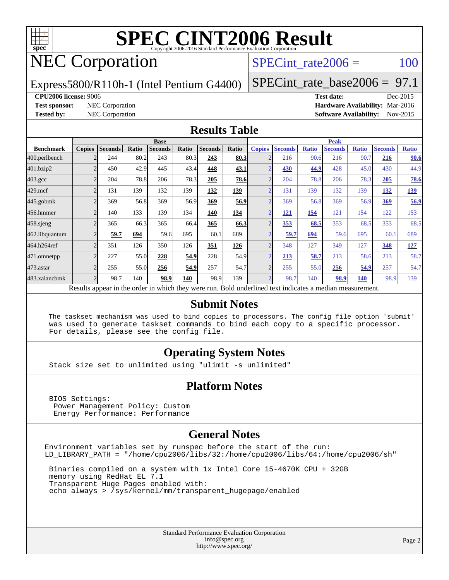

# NEC Corporation

SPECint rate $2006 = 100$ 

Express5800/R110h-1 (Intel Pentium G4400)

[SPECint\\_rate\\_base2006 =](http://www.spec.org/auto/cpu2006/Docs/result-fields.html#SPECintratebase2006) 97.1

#### **[CPU2006 license:](http://www.spec.org/auto/cpu2006/Docs/result-fields.html#CPU2006license)** 9006 **[Test date:](http://www.spec.org/auto/cpu2006/Docs/result-fields.html#Testdate)** Dec-2015

**[Test sponsor:](http://www.spec.org/auto/cpu2006/Docs/result-fields.html#Testsponsor)** NEC Corporation **[Hardware Availability:](http://www.spec.org/auto/cpu2006/Docs/result-fields.html#HardwareAvailability)** Mar-2016 **[Tested by:](http://www.spec.org/auto/cpu2006/Docs/result-fields.html#Testedby)** NEC Corporation **[Software Availability:](http://www.spec.org/auto/cpu2006/Docs/result-fields.html#SoftwareAvailability)** Nov-2015

#### **[Results Table](http://www.spec.org/auto/cpu2006/Docs/result-fields.html#ResultsTable)**

|                                                                                                          | <b>Base</b>              |                |       |                |       |                |             | <b>Peak</b>    |                |              |                |              |                |              |
|----------------------------------------------------------------------------------------------------------|--------------------------|----------------|-------|----------------|-------|----------------|-------------|----------------|----------------|--------------|----------------|--------------|----------------|--------------|
| <b>Benchmark</b>                                                                                         | <b>Copies</b>            | <b>Seconds</b> | Ratio | <b>Seconds</b> | Ratio | <b>Seconds</b> | Ratio       | <b>Copies</b>  | <b>Seconds</b> | <b>Ratio</b> | <b>Seconds</b> | <b>Ratio</b> | <b>Seconds</b> | <b>Ratio</b> |
| 400.perlbench                                                                                            |                          | 244            | 80.2  | 243            | 80.3  | 243            | 80.3        |                | 216            | 90.6         | 216            | 90.7         | 216            | 90.6         |
| 401.bzip2                                                                                                |                          | 450            | 42.9  | 445            | 43.4  | 448            | 43.1        |                | 430            | 44.9         | 428            | 45.0         | 430            | 44.9         |
| $403.\text{gcc}$                                                                                         | $\mathfrak{D}$           | 204            | 78.8  | 206            | 78.3  | 205            | 78.6        | $\overline{2}$ | 204            | 78.8         | 206            | 78.3         | 205            | 78.6         |
| $429$ .mcf                                                                                               | $\overline{c}$           | 131            | 139   | 132            | 139   | 132            | 139         | ◠              | 131            | 139          | 132            | 139          | 132            | <u>139</u>   |
| $445$ .gobmk                                                                                             |                          | 369            | 56.8  | 369            | 56.9  | 369            | <u>56.9</u> |                | 369            | 56.8         | 369            | 56.9         | 369            | 56.9         |
| 456.hmmer                                                                                                |                          | 140            | 133   | 139            | 134   | 140            | 134         |                | <u>121</u>     | 154          | 121            | 154          | 122            | 153          |
| $458$ .sjeng                                                                                             | $\overline{c}$           | 365            | 66.3  | 365            | 66.4  | 365            | 66.3        | $\overline{2}$ | 353            | 68.5         | 353            | 68.5         | 353            | 68.5         |
| 462.libquantum                                                                                           |                          | 59.7           | 694   | 59.6           | 695   | 60.1           | 689         |                | 59.7           | 694          | 59.6           | 695          | 60.1           | 689          |
| 464.h264ref                                                                                              | $\mathfrak{D}$           | 351            | 126   | 350            | 126   | 351            | 126         |                | 348            | 127          | 349            | 127          | 348            | 127          |
| 471.omnetpp                                                                                              |                          | 227            | 55.0  | 228            | 54.9  | 228            | 54.9        |                | 213            | 58.7         | 213            | 58.6         | 213            | 58.7         |
| 473.astar                                                                                                | $\overline{\mathcal{L}}$ | 255            | 55.0  | 256            | 54.9  | 257            | 54.7        | $\overline{ }$ | 255            | 55.0         | 256            | 54.9         | 257            | 54.7         |
| 483.xalancbmk                                                                                            | $\overline{c}$           | 98.7           | 140   | 98.9           | 140   | 98.9           | 139         |                | 98.7           | 140          | 98.9           | 140          | 98.9           | 139          |
| Results appear in the order in which they were run. Bold underlined text indicates a median measurement. |                          |                |       |                |       |                |             |                |                |              |                |              |                |              |

#### **[Submit Notes](http://www.spec.org/auto/cpu2006/Docs/result-fields.html#SubmitNotes)**

 The taskset mechanism was used to bind copies to processors. The config file option 'submit' was used to generate taskset commands to bind each copy to a specific processor. For details, please see the config file.

#### **[Operating System Notes](http://www.spec.org/auto/cpu2006/Docs/result-fields.html#OperatingSystemNotes)**

Stack size set to unlimited using "ulimit -s unlimited"

#### **[Platform Notes](http://www.spec.org/auto/cpu2006/Docs/result-fields.html#PlatformNotes)**

 BIOS Settings: Power Management Policy: Custom Energy Performance: Performance

#### **[General Notes](http://www.spec.org/auto/cpu2006/Docs/result-fields.html#GeneralNotes)**

Environment variables set by runspec before the start of the run: LD\_LIBRARY\_PATH = "/home/cpu2006/libs/32:/home/cpu2006/libs/64:/home/cpu2006/sh"

 Binaries compiled on a system with 1x Intel Core i5-4670K CPU + 32GB memory using RedHat EL 7.1 Transparent Huge Pages enabled with: echo always > /sys/kernel/mm/transparent\_hugepage/enabled

> Standard Performance Evaluation Corporation [info@spec.org](mailto:info@spec.org) <http://www.spec.org/>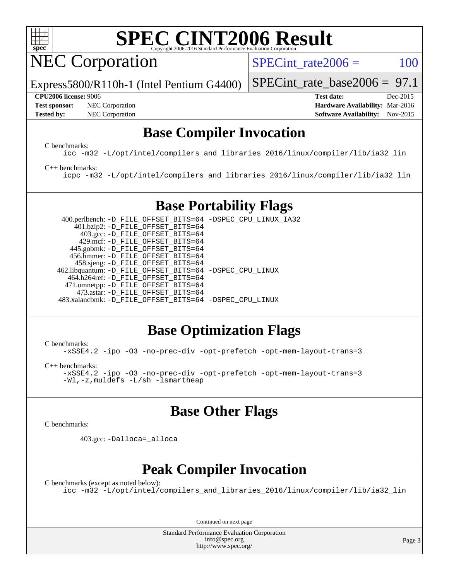

NEC Corporation

SPECint rate $2006 = 100$ 

[SPECint\\_rate\\_base2006 =](http://www.spec.org/auto/cpu2006/Docs/result-fields.html#SPECintratebase2006) 97.1

Express5800/R110h-1 (Intel Pentium G4400)

**[Test sponsor:](http://www.spec.org/auto/cpu2006/Docs/result-fields.html#Testsponsor)** NEC Corporation **NEC Corporation [Hardware Availability:](http://www.spec.org/auto/cpu2006/Docs/result-fields.html#HardwareAvailability)** Mar-2016

**[CPU2006 license:](http://www.spec.org/auto/cpu2006/Docs/result-fields.html#CPU2006license)** 9006 **[Test date:](http://www.spec.org/auto/cpu2006/Docs/result-fields.html#Testdate)** Dec-2015 **[Tested by:](http://www.spec.org/auto/cpu2006/Docs/result-fields.html#Testedby)** NEC Corporation **[Software Availability:](http://www.spec.org/auto/cpu2006/Docs/result-fields.html#SoftwareAvailability)** Nov-2015

## **[Base Compiler Invocation](http://www.spec.org/auto/cpu2006/Docs/result-fields.html#BaseCompilerInvocation)**

[C benchmarks](http://www.spec.org/auto/cpu2006/Docs/result-fields.html#Cbenchmarks):

[icc -m32 -L/opt/intel/compilers\\_and\\_libraries\\_2016/linux/compiler/lib/ia32\\_lin](http://www.spec.org/cpu2006/results/res2016q1/cpu2006-20160125-38816.flags.html#user_CCbase_intel_icc_e10256ba5924b668798078a321b0cb3f)

#### [C++ benchmarks:](http://www.spec.org/auto/cpu2006/Docs/result-fields.html#CXXbenchmarks)

[icpc -m32 -L/opt/intel/compilers\\_and\\_libraries\\_2016/linux/compiler/lib/ia32\\_lin](http://www.spec.org/cpu2006/results/res2016q1/cpu2006-20160125-38816.flags.html#user_CXXbase_intel_icpc_b4f50a394bdb4597aa5879c16bc3f5c5)

## **[Base Portability Flags](http://www.spec.org/auto/cpu2006/Docs/result-fields.html#BasePortabilityFlags)**

 400.perlbench: [-D\\_FILE\\_OFFSET\\_BITS=64](http://www.spec.org/cpu2006/results/res2016q1/cpu2006-20160125-38816.flags.html#user_basePORTABILITY400_perlbench_file_offset_bits_64_438cf9856305ebd76870a2c6dc2689ab) [-DSPEC\\_CPU\\_LINUX\\_IA32](http://www.spec.org/cpu2006/results/res2016q1/cpu2006-20160125-38816.flags.html#b400.perlbench_baseCPORTABILITY_DSPEC_CPU_LINUX_IA32) 401.bzip2: [-D\\_FILE\\_OFFSET\\_BITS=64](http://www.spec.org/cpu2006/results/res2016q1/cpu2006-20160125-38816.flags.html#user_basePORTABILITY401_bzip2_file_offset_bits_64_438cf9856305ebd76870a2c6dc2689ab) 403.gcc: [-D\\_FILE\\_OFFSET\\_BITS=64](http://www.spec.org/cpu2006/results/res2016q1/cpu2006-20160125-38816.flags.html#user_basePORTABILITY403_gcc_file_offset_bits_64_438cf9856305ebd76870a2c6dc2689ab) 429.mcf: [-D\\_FILE\\_OFFSET\\_BITS=64](http://www.spec.org/cpu2006/results/res2016q1/cpu2006-20160125-38816.flags.html#user_basePORTABILITY429_mcf_file_offset_bits_64_438cf9856305ebd76870a2c6dc2689ab) 445.gobmk: [-D\\_FILE\\_OFFSET\\_BITS=64](http://www.spec.org/cpu2006/results/res2016q1/cpu2006-20160125-38816.flags.html#user_basePORTABILITY445_gobmk_file_offset_bits_64_438cf9856305ebd76870a2c6dc2689ab) 456.hmmer: [-D\\_FILE\\_OFFSET\\_BITS=64](http://www.spec.org/cpu2006/results/res2016q1/cpu2006-20160125-38816.flags.html#user_basePORTABILITY456_hmmer_file_offset_bits_64_438cf9856305ebd76870a2c6dc2689ab) 458.sjeng: [-D\\_FILE\\_OFFSET\\_BITS=64](http://www.spec.org/cpu2006/results/res2016q1/cpu2006-20160125-38816.flags.html#user_basePORTABILITY458_sjeng_file_offset_bits_64_438cf9856305ebd76870a2c6dc2689ab) 462.libquantum: [-D\\_FILE\\_OFFSET\\_BITS=64](http://www.spec.org/cpu2006/results/res2016q1/cpu2006-20160125-38816.flags.html#user_basePORTABILITY462_libquantum_file_offset_bits_64_438cf9856305ebd76870a2c6dc2689ab) [-DSPEC\\_CPU\\_LINUX](http://www.spec.org/cpu2006/results/res2016q1/cpu2006-20160125-38816.flags.html#b462.libquantum_baseCPORTABILITY_DSPEC_CPU_LINUX) 464.h264ref: [-D\\_FILE\\_OFFSET\\_BITS=64](http://www.spec.org/cpu2006/results/res2016q1/cpu2006-20160125-38816.flags.html#user_basePORTABILITY464_h264ref_file_offset_bits_64_438cf9856305ebd76870a2c6dc2689ab) 471.omnetpp: [-D\\_FILE\\_OFFSET\\_BITS=64](http://www.spec.org/cpu2006/results/res2016q1/cpu2006-20160125-38816.flags.html#user_basePORTABILITY471_omnetpp_file_offset_bits_64_438cf9856305ebd76870a2c6dc2689ab) 473.astar: [-D\\_FILE\\_OFFSET\\_BITS=64](http://www.spec.org/cpu2006/results/res2016q1/cpu2006-20160125-38816.flags.html#user_basePORTABILITY473_astar_file_offset_bits_64_438cf9856305ebd76870a2c6dc2689ab) 483.xalancbmk: [-D\\_FILE\\_OFFSET\\_BITS=64](http://www.spec.org/cpu2006/results/res2016q1/cpu2006-20160125-38816.flags.html#user_basePORTABILITY483_xalancbmk_file_offset_bits_64_438cf9856305ebd76870a2c6dc2689ab) [-DSPEC\\_CPU\\_LINUX](http://www.spec.org/cpu2006/results/res2016q1/cpu2006-20160125-38816.flags.html#b483.xalancbmk_baseCXXPORTABILITY_DSPEC_CPU_LINUX)

## **[Base Optimization Flags](http://www.spec.org/auto/cpu2006/Docs/result-fields.html#BaseOptimizationFlags)**

[C benchmarks](http://www.spec.org/auto/cpu2006/Docs/result-fields.html#Cbenchmarks):

[-xSSE4.2](http://www.spec.org/cpu2006/results/res2016q1/cpu2006-20160125-38816.flags.html#user_CCbase_f-xSSE42_f91528193cf0b216347adb8b939d4107) [-ipo](http://www.spec.org/cpu2006/results/res2016q1/cpu2006-20160125-38816.flags.html#user_CCbase_f-ipo) [-O3](http://www.spec.org/cpu2006/results/res2016q1/cpu2006-20160125-38816.flags.html#user_CCbase_f-O3) [-no-prec-div](http://www.spec.org/cpu2006/results/res2016q1/cpu2006-20160125-38816.flags.html#user_CCbase_f-no-prec-div) [-opt-prefetch](http://www.spec.org/cpu2006/results/res2016q1/cpu2006-20160125-38816.flags.html#user_CCbase_f-opt-prefetch) [-opt-mem-layout-trans=3](http://www.spec.org/cpu2006/results/res2016q1/cpu2006-20160125-38816.flags.html#user_CCbase_f-opt-mem-layout-trans_a7b82ad4bd7abf52556d4961a2ae94d5)

[C++ benchmarks:](http://www.spec.org/auto/cpu2006/Docs/result-fields.html#CXXbenchmarks)

[-xSSE4.2](http://www.spec.org/cpu2006/results/res2016q1/cpu2006-20160125-38816.flags.html#user_CXXbase_f-xSSE42_f91528193cf0b216347adb8b939d4107) [-ipo](http://www.spec.org/cpu2006/results/res2016q1/cpu2006-20160125-38816.flags.html#user_CXXbase_f-ipo) [-O3](http://www.spec.org/cpu2006/results/res2016q1/cpu2006-20160125-38816.flags.html#user_CXXbase_f-O3) [-no-prec-div](http://www.spec.org/cpu2006/results/res2016q1/cpu2006-20160125-38816.flags.html#user_CXXbase_f-no-prec-div) [-opt-prefetch](http://www.spec.org/cpu2006/results/res2016q1/cpu2006-20160125-38816.flags.html#user_CXXbase_f-opt-prefetch) [-opt-mem-layout-trans=3](http://www.spec.org/cpu2006/results/res2016q1/cpu2006-20160125-38816.flags.html#user_CXXbase_f-opt-mem-layout-trans_a7b82ad4bd7abf52556d4961a2ae94d5) [-Wl,-z,muldefs](http://www.spec.org/cpu2006/results/res2016q1/cpu2006-20160125-38816.flags.html#user_CXXbase_link_force_multiple1_74079c344b956b9658436fd1b6dd3a8a) [-L/sh -lsmartheap](http://www.spec.org/cpu2006/results/res2016q1/cpu2006-20160125-38816.flags.html#user_CXXbase_SmartHeap_32f6c82aa1ed9c52345d30cf6e4a0499)

## **[Base Other Flags](http://www.spec.org/auto/cpu2006/Docs/result-fields.html#BaseOtherFlags)**

[C benchmarks](http://www.spec.org/auto/cpu2006/Docs/result-fields.html#Cbenchmarks):

403.gcc: [-Dalloca=\\_alloca](http://www.spec.org/cpu2006/results/res2016q1/cpu2006-20160125-38816.flags.html#b403.gcc_baseEXTRA_CFLAGS_Dalloca_be3056838c12de2578596ca5467af7f3)

## **[Peak Compiler Invocation](http://www.spec.org/auto/cpu2006/Docs/result-fields.html#PeakCompilerInvocation)**

[C benchmarks \(except as noted below\)](http://www.spec.org/auto/cpu2006/Docs/result-fields.html#Cbenchmarksexceptasnotedbelow):

[icc -m32 -L/opt/intel/compilers\\_and\\_libraries\\_2016/linux/compiler/lib/ia32\\_lin](http://www.spec.org/cpu2006/results/res2016q1/cpu2006-20160125-38816.flags.html#user_CCpeak_intel_icc_e10256ba5924b668798078a321b0cb3f)

Continued on next page

Standard Performance Evaluation Corporation [info@spec.org](mailto:info@spec.org) <http://www.spec.org/>

Page 3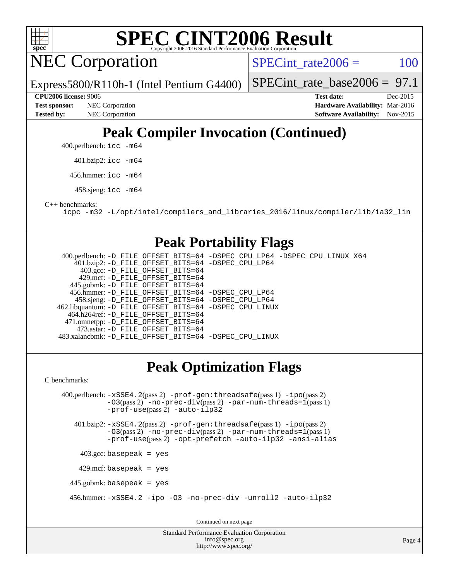

NEC Corporation

SPECint rate $2006 = 100$ 

Express5800/R110h-1 (Intel Pentium G4400)

[SPECint\\_rate\\_base2006 =](http://www.spec.org/auto/cpu2006/Docs/result-fields.html#SPECintratebase2006) 97.1

**[Tested by:](http://www.spec.org/auto/cpu2006/Docs/result-fields.html#Testedby)** NEC Corporation **[Software Availability:](http://www.spec.org/auto/cpu2006/Docs/result-fields.html#SoftwareAvailability)** Nov-2015

**[CPU2006 license:](http://www.spec.org/auto/cpu2006/Docs/result-fields.html#CPU2006license)** 9006 **[Test date:](http://www.spec.org/auto/cpu2006/Docs/result-fields.html#Testdate)** Dec-2015 **[Test sponsor:](http://www.spec.org/auto/cpu2006/Docs/result-fields.html#Testsponsor)** NEC Corporation **NEC Corporation [Hardware Availability:](http://www.spec.org/auto/cpu2006/Docs/result-fields.html#HardwareAvailability)** Mar-2016

# **[Peak Compiler Invocation \(Continued\)](http://www.spec.org/auto/cpu2006/Docs/result-fields.html#PeakCompilerInvocation)**

400.perlbench: [icc -m64](http://www.spec.org/cpu2006/results/res2016q1/cpu2006-20160125-38816.flags.html#user_peakCCLD400_perlbench_intel_icc_64bit_bda6cc9af1fdbb0edc3795bac97ada53)

401.bzip2: [icc -m64](http://www.spec.org/cpu2006/results/res2016q1/cpu2006-20160125-38816.flags.html#user_peakCCLD401_bzip2_intel_icc_64bit_bda6cc9af1fdbb0edc3795bac97ada53)

456.hmmer: [icc -m64](http://www.spec.org/cpu2006/results/res2016q1/cpu2006-20160125-38816.flags.html#user_peakCCLD456_hmmer_intel_icc_64bit_bda6cc9af1fdbb0edc3795bac97ada53)

458.sjeng: [icc -m64](http://www.spec.org/cpu2006/results/res2016q1/cpu2006-20160125-38816.flags.html#user_peakCCLD458_sjeng_intel_icc_64bit_bda6cc9af1fdbb0edc3795bac97ada53)

[C++ benchmarks:](http://www.spec.org/auto/cpu2006/Docs/result-fields.html#CXXbenchmarks)

[icpc -m32 -L/opt/intel/compilers\\_and\\_libraries\\_2016/linux/compiler/lib/ia32\\_lin](http://www.spec.org/cpu2006/results/res2016q1/cpu2006-20160125-38816.flags.html#user_CXXpeak_intel_icpc_b4f50a394bdb4597aa5879c16bc3f5c5)

## **[Peak Portability Flags](http://www.spec.org/auto/cpu2006/Docs/result-fields.html#PeakPortabilityFlags)**

 400.perlbench: [-D\\_FILE\\_OFFSET\\_BITS=64](http://www.spec.org/cpu2006/results/res2016q1/cpu2006-20160125-38816.flags.html#user_peakPORTABILITY400_perlbench_file_offset_bits_64_438cf9856305ebd76870a2c6dc2689ab) [-DSPEC\\_CPU\\_LP64](http://www.spec.org/cpu2006/results/res2016q1/cpu2006-20160125-38816.flags.html#b400.perlbench_peakCPORTABILITY_DSPEC_CPU_LP64) [-DSPEC\\_CPU\\_LINUX\\_X64](http://www.spec.org/cpu2006/results/res2016q1/cpu2006-20160125-38816.flags.html#b400.perlbench_peakCPORTABILITY_DSPEC_CPU_LINUX_X64) 401.bzip2: [-D\\_FILE\\_OFFSET\\_BITS=64](http://www.spec.org/cpu2006/results/res2016q1/cpu2006-20160125-38816.flags.html#user_peakPORTABILITY401_bzip2_file_offset_bits_64_438cf9856305ebd76870a2c6dc2689ab) [-DSPEC\\_CPU\\_LP64](http://www.spec.org/cpu2006/results/res2016q1/cpu2006-20160125-38816.flags.html#suite_peakCPORTABILITY401_bzip2_DSPEC_CPU_LP64) 403.gcc: [-D\\_FILE\\_OFFSET\\_BITS=64](http://www.spec.org/cpu2006/results/res2016q1/cpu2006-20160125-38816.flags.html#user_peakPORTABILITY403_gcc_file_offset_bits_64_438cf9856305ebd76870a2c6dc2689ab) 429.mcf: [-D\\_FILE\\_OFFSET\\_BITS=64](http://www.spec.org/cpu2006/results/res2016q1/cpu2006-20160125-38816.flags.html#user_peakPORTABILITY429_mcf_file_offset_bits_64_438cf9856305ebd76870a2c6dc2689ab) 445.gobmk: [-D\\_FILE\\_OFFSET\\_BITS=64](http://www.spec.org/cpu2006/results/res2016q1/cpu2006-20160125-38816.flags.html#user_peakPORTABILITY445_gobmk_file_offset_bits_64_438cf9856305ebd76870a2c6dc2689ab) 456.hmmer: [-D\\_FILE\\_OFFSET\\_BITS=64](http://www.spec.org/cpu2006/results/res2016q1/cpu2006-20160125-38816.flags.html#user_peakPORTABILITY456_hmmer_file_offset_bits_64_438cf9856305ebd76870a2c6dc2689ab) [-DSPEC\\_CPU\\_LP64](http://www.spec.org/cpu2006/results/res2016q1/cpu2006-20160125-38816.flags.html#suite_peakCPORTABILITY456_hmmer_DSPEC_CPU_LP64) 458.sjeng: [-D\\_FILE\\_OFFSET\\_BITS=64](http://www.spec.org/cpu2006/results/res2016q1/cpu2006-20160125-38816.flags.html#user_peakPORTABILITY458_sjeng_file_offset_bits_64_438cf9856305ebd76870a2c6dc2689ab) [-DSPEC\\_CPU\\_LP64](http://www.spec.org/cpu2006/results/res2016q1/cpu2006-20160125-38816.flags.html#suite_peakCPORTABILITY458_sjeng_DSPEC_CPU_LP64) 462.libquantum: [-D\\_FILE\\_OFFSET\\_BITS=64](http://www.spec.org/cpu2006/results/res2016q1/cpu2006-20160125-38816.flags.html#user_peakPORTABILITY462_libquantum_file_offset_bits_64_438cf9856305ebd76870a2c6dc2689ab) [-DSPEC\\_CPU\\_LINUX](http://www.spec.org/cpu2006/results/res2016q1/cpu2006-20160125-38816.flags.html#b462.libquantum_peakCPORTABILITY_DSPEC_CPU_LINUX) 464.h264ref: [-D\\_FILE\\_OFFSET\\_BITS=64](http://www.spec.org/cpu2006/results/res2016q1/cpu2006-20160125-38816.flags.html#user_peakPORTABILITY464_h264ref_file_offset_bits_64_438cf9856305ebd76870a2c6dc2689ab) 471.omnetpp: [-D\\_FILE\\_OFFSET\\_BITS=64](http://www.spec.org/cpu2006/results/res2016q1/cpu2006-20160125-38816.flags.html#user_peakPORTABILITY471_omnetpp_file_offset_bits_64_438cf9856305ebd76870a2c6dc2689ab) 473.astar: [-D\\_FILE\\_OFFSET\\_BITS=64](http://www.spec.org/cpu2006/results/res2016q1/cpu2006-20160125-38816.flags.html#user_peakPORTABILITY473_astar_file_offset_bits_64_438cf9856305ebd76870a2c6dc2689ab) 483.xalancbmk: [-D\\_FILE\\_OFFSET\\_BITS=64](http://www.spec.org/cpu2006/results/res2016q1/cpu2006-20160125-38816.flags.html#user_peakPORTABILITY483_xalancbmk_file_offset_bits_64_438cf9856305ebd76870a2c6dc2689ab) [-DSPEC\\_CPU\\_LINUX](http://www.spec.org/cpu2006/results/res2016q1/cpu2006-20160125-38816.flags.html#b483.xalancbmk_peakCXXPORTABILITY_DSPEC_CPU_LINUX)

## **[Peak Optimization Flags](http://www.spec.org/auto/cpu2006/Docs/result-fields.html#PeakOptimizationFlags)**

[C benchmarks](http://www.spec.org/auto/cpu2006/Docs/result-fields.html#Cbenchmarks):

 400.perlbench: [-xSSE4.2](http://www.spec.org/cpu2006/results/res2016q1/cpu2006-20160125-38816.flags.html#user_peakPASS2_CFLAGSPASS2_LDCFLAGS400_perlbench_f-xSSE42_f91528193cf0b216347adb8b939d4107)(pass 2) [-prof-gen:threadsafe](http://www.spec.org/cpu2006/results/res2016q1/cpu2006-20160125-38816.flags.html#user_peakPASS1_CFLAGSPASS1_LDCFLAGS400_perlbench_prof_gen_21a26eb79f378b550acd7bec9fe4467a)(pass 1) [-ipo](http://www.spec.org/cpu2006/results/res2016q1/cpu2006-20160125-38816.flags.html#user_peakPASS2_CFLAGSPASS2_LDCFLAGS400_perlbench_f-ipo)(pass 2)  $-$ O3(pass 2)  $-$ no-prec-div(pass 2)  $-$ par-num-threads=1(pass 1) [-prof-use](http://www.spec.org/cpu2006/results/res2016q1/cpu2006-20160125-38816.flags.html#user_peakPASS2_CFLAGSPASS2_LDCFLAGS400_perlbench_prof_use_bccf7792157ff70d64e32fe3e1250b55)(pass 2) [-auto-ilp32](http://www.spec.org/cpu2006/results/res2016q1/cpu2006-20160125-38816.flags.html#user_peakCOPTIMIZE400_perlbench_f-auto-ilp32) 401.bzip2: [-xSSE4.2](http://www.spec.org/cpu2006/results/res2016q1/cpu2006-20160125-38816.flags.html#user_peakPASS2_CFLAGSPASS2_LDCFLAGS401_bzip2_f-xSSE42_f91528193cf0b216347adb8b939d4107)(pass 2) [-prof-gen:threadsafe](http://www.spec.org/cpu2006/results/res2016q1/cpu2006-20160125-38816.flags.html#user_peakPASS1_CFLAGSPASS1_LDCFLAGS401_bzip2_prof_gen_21a26eb79f378b550acd7bec9fe4467a)(pass 1) [-ipo](http://www.spec.org/cpu2006/results/res2016q1/cpu2006-20160125-38816.flags.html#user_peakPASS2_CFLAGSPASS2_LDCFLAGS401_bzip2_f-ipo)(pass 2)  $-03$ (pass 2)  $-$ no-prec-div(pass 2) [-par-num-threads=1](http://www.spec.org/cpu2006/results/res2016q1/cpu2006-20160125-38816.flags.html#user_peakPASS1_CFLAGSPASS1_LDCFLAGS401_bzip2_par_num_threads_786a6ff141b4e9e90432e998842df6c2)(pass 1) [-prof-use](http://www.spec.org/cpu2006/results/res2016q1/cpu2006-20160125-38816.flags.html#user_peakPASS2_CFLAGSPASS2_LDCFLAGS401_bzip2_prof_use_bccf7792157ff70d64e32fe3e1250b55)(pass 2) [-opt-prefetch](http://www.spec.org/cpu2006/results/res2016q1/cpu2006-20160125-38816.flags.html#user_peakCOPTIMIZE401_bzip2_f-opt-prefetch) [-auto-ilp32](http://www.spec.org/cpu2006/results/res2016q1/cpu2006-20160125-38816.flags.html#user_peakCOPTIMIZE401_bzip2_f-auto-ilp32) [-ansi-alias](http://www.spec.org/cpu2006/results/res2016q1/cpu2006-20160125-38816.flags.html#user_peakCOPTIMIZE401_bzip2_f-ansi-alias)  $403.\text{gcc: basepeak}$  = yes

 $429$ .mcf: basepeak = yes

445.gobmk: basepeak = yes

456.hmmer: [-xSSE4.2](http://www.spec.org/cpu2006/results/res2016q1/cpu2006-20160125-38816.flags.html#user_peakCOPTIMIZE456_hmmer_f-xSSE42_f91528193cf0b216347adb8b939d4107) [-ipo](http://www.spec.org/cpu2006/results/res2016q1/cpu2006-20160125-38816.flags.html#user_peakCOPTIMIZE456_hmmer_f-ipo) [-O3](http://www.spec.org/cpu2006/results/res2016q1/cpu2006-20160125-38816.flags.html#user_peakCOPTIMIZE456_hmmer_f-O3) [-no-prec-div](http://www.spec.org/cpu2006/results/res2016q1/cpu2006-20160125-38816.flags.html#user_peakCOPTIMIZE456_hmmer_f-no-prec-div) [-unroll2](http://www.spec.org/cpu2006/results/res2016q1/cpu2006-20160125-38816.flags.html#user_peakCOPTIMIZE456_hmmer_f-unroll_784dae83bebfb236979b41d2422d7ec2) [-auto-ilp32](http://www.spec.org/cpu2006/results/res2016q1/cpu2006-20160125-38816.flags.html#user_peakCOPTIMIZE456_hmmer_f-auto-ilp32)

Continued on next page

Standard Performance Evaluation Corporation [info@spec.org](mailto:info@spec.org) <http://www.spec.org/>